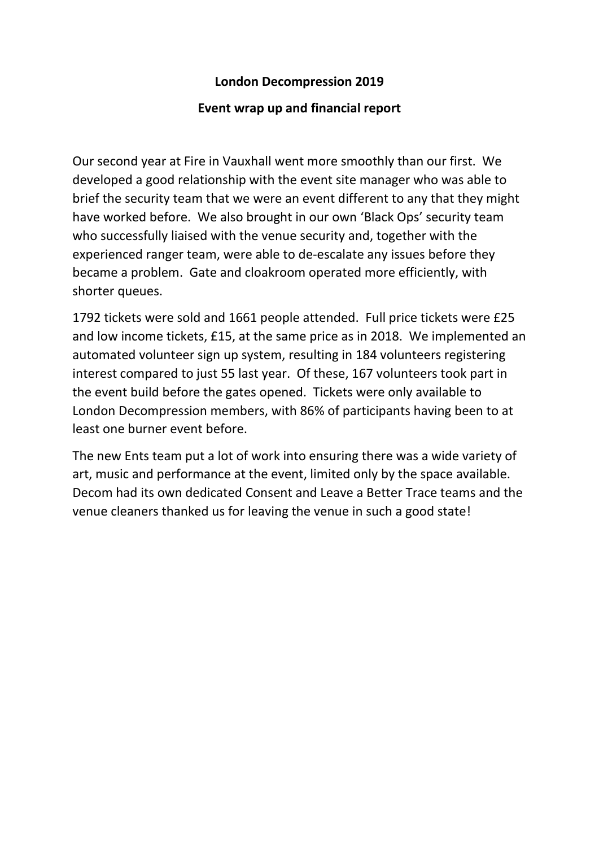## **London Decompression 2019**

## **Event wrap up and financial report**

Our second year at Fire in Vauxhall went more smoothly than our first. We developed a good relationship with the event site manager who was able to brief the security team that we were an event different to any that they might have worked before. We also brought in our own 'Black Ops' security team who successfully liaised with the venue security and, together with the experienced ranger team, were able to de-escalate any issues before they became a problem. Gate and cloakroom operated more efficiently, with shorter queues.

1792 tickets were sold and 1661 people attended. Full price tickets were £25 and low income tickets, £15, at the same price as in 2018. We implemented an automated volunteer sign up system, resulting in 184 volunteers registering interest compared to just 55 last year. Of these, 167 volunteers took part in the event build before the gates opened. Tickets were only available to London Decompression members, with 86% of participants having been to at least one burner event before.

The new Ents team put a lot of work into ensuring there was a wide variety of art, music and performance at the event, limited only by the space available. Decom had its own dedicated Consent and Leave a Better Trace teams and the venue cleaners thanked us for leaving the venue in such a good state!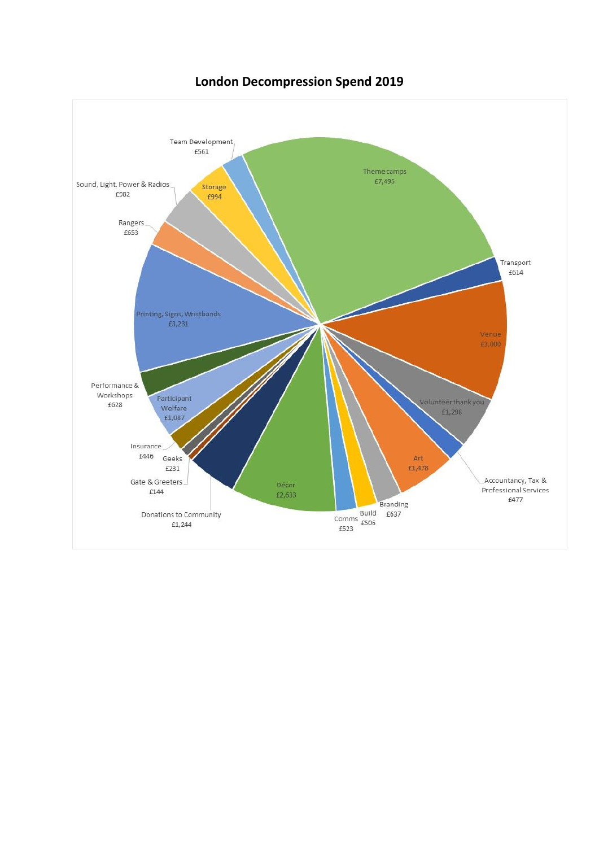

**London Decompression Spend 2019**